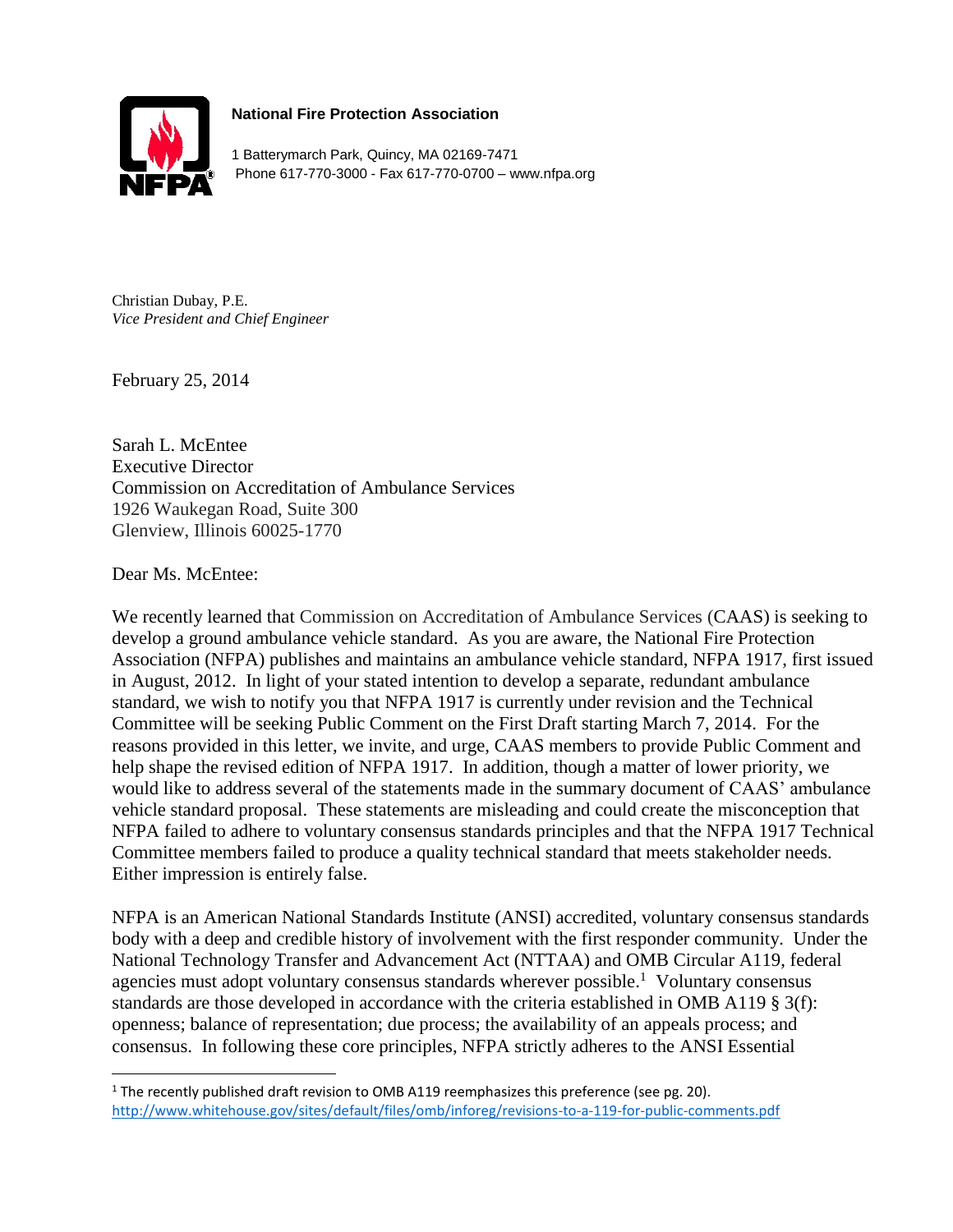

## **National Fire Protection Association**

1 Batterymarch Park, Quincy, MA 02169-7471 Phone 617-770-3000 - Fax 617-770-0700 – www.nfpa.org

Christian Dubay, P.E. *Vice President and Chief Engineer*

February 25, 2014

Sarah L. McEntee Executive Director Commission on Accreditation of Ambulance Services 1926 Waukegan Road, Suite 300 Glenview, Illinois 60025-1770

Dear Ms. McEntee:

l

We recently learned that Commission on Accreditation of Ambulance Services (CAAS) is seeking to develop a ground ambulance vehicle standard. As you are aware, the National Fire Protection Association (NFPA) publishes and maintains an ambulance vehicle standard, NFPA 1917, first issued in August, 2012. In light of your stated intention to develop a separate, redundant ambulance standard, we wish to notify you that NFPA 1917 is currently under revision and the Technical Committee will be seeking Public Comment on the First Draft starting March 7, 2014. For the reasons provided in this letter, we invite, and urge, CAAS members to provide Public Comment and help shape the revised edition of NFPA 1917. In addition, though a matter of lower priority, we would like to address several of the statements made in the summary document of CAAS' ambulance vehicle standard proposal. These statements are misleading and could create the misconception that NFPA failed to adhere to voluntary consensus standards principles and that the NFPA 1917 Technical Committee members failed to produce a quality technical standard that meets stakeholder needs. Either impression is entirely false.

NFPA is an American National Standards Institute (ANSI) accredited, voluntary consensus standards body with a deep and credible history of involvement with the first responder community. Under the National Technology Transfer and Advancement Act (NTTAA) and OMB Circular A119, federal agencies must adopt voluntary consensus standards wherever possible.<sup>1</sup> Voluntary consensus standards are those developed in accordance with the criteria established in OMB A119 § 3(f): openness; balance of representation; due process; the availability of an appeals process; and consensus. In following these core principles, NFPA strictly adheres to the ANSI Essential

<sup>&</sup>lt;sup>1</sup> The recently published draft revision to OMB A119 reemphasizes this preference (see pg. 20). <http://www.whitehouse.gov/sites/default/files/omb/inforeg/revisions-to-a-119-for-public-comments.pdf>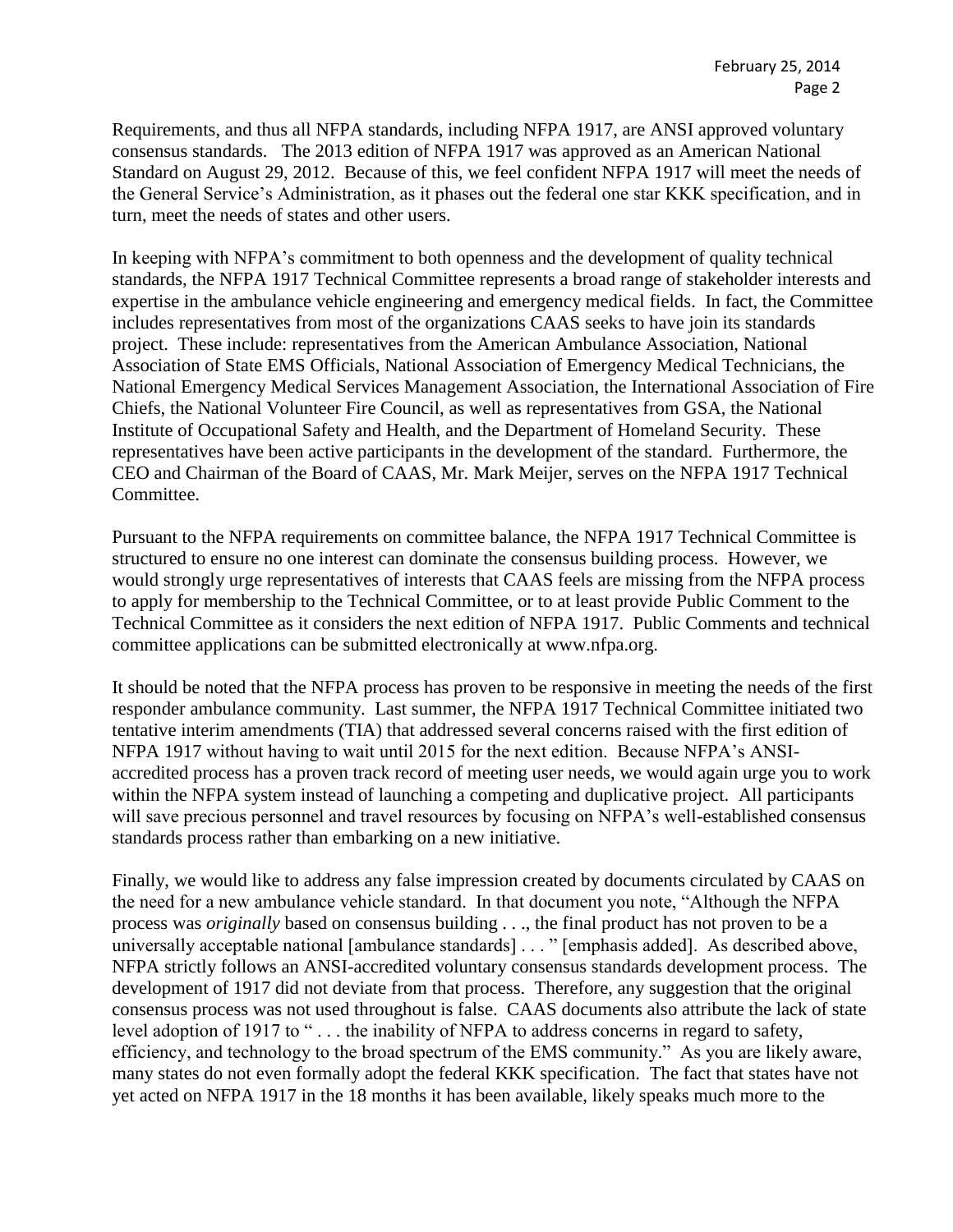Requirements, and thus all NFPA standards, including NFPA 1917, are ANSI approved voluntary consensus standards. The 2013 edition of NFPA 1917 was approved as an American National Standard on August 29, 2012. Because of this, we feel confident NFPA 1917 will meet the needs of the General Service's Administration, as it phases out the federal one star KKK specification, and in turn, meet the needs of states and other users.

In keeping with NFPA's commitment to both openness and the development of quality technical standards, the NFPA 1917 Technical Committee represents a broad range of stakeholder interests and expertise in the ambulance vehicle engineering and emergency medical fields. In fact, the Committee includes representatives from most of the organizations CAAS seeks to have join its standards project. These include: representatives from the American Ambulance Association, National Association of State EMS Officials, National Association of Emergency Medical Technicians, the National Emergency Medical Services Management Association, the International Association of Fire Chiefs, the National Volunteer Fire Council, as well as representatives from GSA, the National Institute of Occupational Safety and Health, and the Department of Homeland Security. These representatives have been active participants in the development of the standard. Furthermore, the CEO and Chairman of the Board of CAAS, Mr. Mark Meijer, serves on the NFPA 1917 Technical Committee.

Pursuant to the NFPA requirements on committee balance, the NFPA 1917 Technical Committee is structured to ensure no one interest can dominate the consensus building process. However, we would strongly urge representatives of interests that CAAS feels are missing from the NFPA process to apply for membership to the Technical Committee, or to at least provide Public Comment to the Technical Committee as it considers the next edition of NFPA 1917. Public Comments and technical committee applications can be submitted electronically at www.nfpa.org.

It should be noted that the NFPA process has proven to be responsive in meeting the needs of the first responder ambulance community. Last summer, the NFPA 1917 Technical Committee initiated two tentative interim amendments (TIA) that addressed several concerns raised with the first edition of NFPA 1917 without having to wait until 2015 for the next edition. Because NFPA's ANSIaccredited process has a proven track record of meeting user needs, we would again urge you to work within the NFPA system instead of launching a competing and duplicative project. All participants will save precious personnel and travel resources by focusing on NFPA's well-established consensus standards process rather than embarking on a new initiative.

Finally, we would like to address any false impression created by documents circulated by CAAS on the need for a new ambulance vehicle standard. In that document you note, "Although the NFPA process was *originally* based on consensus building . . ., the final product has not proven to be a universally acceptable national [ambulance standards] . . . " [emphasis added]. As described above, NFPA strictly follows an ANSI-accredited voluntary consensus standards development process. The development of 1917 did not deviate from that process. Therefore, any suggestion that the original consensus process was not used throughout is false. CAAS documents also attribute the lack of state level adoption of 1917 to "... the inability of NFPA to address concerns in regard to safety, efficiency, and technology to the broad spectrum of the EMS community." As you are likely aware, many states do not even formally adopt the federal KKK specification. The fact that states have not yet acted on NFPA 1917 in the 18 months it has been available, likely speaks much more to the